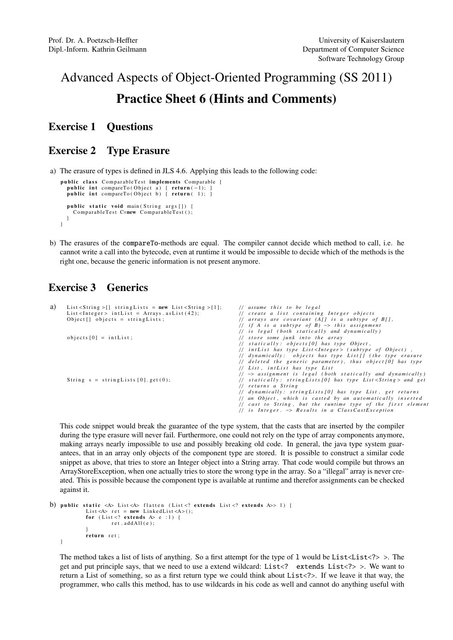# Advanced Aspects of Object-Oriented Programming (SS 2011) Practice Sheet 6 (Hints and Comments)

#### Exercise 1 Questions

### Exercise 2 Type Erasure

a) The erasure of types is defined in JLS 4.6. Applying this leads to the following code:

```
public class ComparableTest implements Comparable {
  public int compareTo (Object a) { return (-1);}
  public int compareTo(Object b) { return (1);public static void main (String args []) {
   ComparableTest C=new ComparableTest ();
  }
}
```
b) The erasures of the compareTo-methods are equal. The compiler cannot decide which method to call, i.e. he cannot write a call into the bytecode, even at runtime it would be impossible to decide which of the methods is the right one, because the generic information is not present anymore.

## Exercise 3 Generics

| a) | List <string> [] string Lists = new List <string> [1];</string></string> | // assume this to be legal                                                        |  |
|----|--------------------------------------------------------------------------|-----------------------------------------------------------------------------------|--|
|    | $List < Integer > intList = Arrays. asList (42);$                        | // create a list containing Integer objects                                       |  |
|    | Object $\lceil \cdot \rceil$ objects = string Lists;                     | // arrays are covariant $(A/J)$ is a subtype of $B/J$ ,                           |  |
|    |                                                                          | // if A is a subtype of $B$ ) $\rightarrow$ this assignment                       |  |
|    |                                                                          | // is legal (both statically and dynamically)                                     |  |
|    | objects $[0] = \text{intList}$ ;                                         | // store some junk into the array                                                 |  |
|    |                                                                          | // statically: objects [0] has type Object,                                       |  |
|    |                                                                          | // intList has type List <integer> (subtype of Object),</integer>                 |  |
|    |                                                                          | // dynamically: objects has type List [] (the type erasure                        |  |
|    |                                                                          | // deleted the generic parameter), thus object [0] has type                       |  |
|    |                                                                          | // List, intList has type List                                                    |  |
|    |                                                                          | $\frac{1}{2}$ $\rightarrow$ assignment is legal (both statically and dynamically) |  |
|    | String $s = stringLists[0].get(0);$                                      | // statically: stringLists [0] has type List < String > and get                   |  |
|    |                                                                          | // returns a String                                                               |  |
|    |                                                                          | // dynamically: string Lists [0] has type List, get returns                       |  |
|    |                                                                          | // an Object, which is casted by an automatically inserted                        |  |
|    |                                                                          | $//$ cast to String, but the runtime type of the first elemen.                    |  |
|    |                                                                          | $//$ is Integer. $\rightarrow$ Results in a ClassCastException                    |  |

This code snippet would break the guarantee of the type system, that the casts that are inserted by the compiler during the type erasure will never fail. Furthermore, one could not rely on the type of array components anymore, making arrays nearly impossible to use and possibly breaking old code. In general, the java type system guarantees, that in an array only objects of the component type are stored. It is possible to construct a similar code snippet as above, that tries to store an Integer object into a String array. That code would compile but throws an ArrayStoreException, when one actually tries to store the wrong type in the array. So a "illegal" array is never created. This is possible because the component type is available at runtime and therefor assignments can be checked against it.

```
b) public static <A> List <A> flatten (List <? extends List <? extends A>> 1) {
           List <A> ret = new LinkedList <A> <();
           for (List <? extends A > e : 1) {
                    ret addAll(e)}
           return ret;
   }
```
The method takes a list of lists of anything. So a first attempt for the type of 1 would be List <List <?> >>>>>. The get and put principle says, that we need to use a extend wildcard: List<? extends List<?> >. We want to return a List of something, so as a first return type we could think about List<?>. If we leave it that way, the programmer, who calls this method, has to use wildcards in his code as well and cannot do anything useful with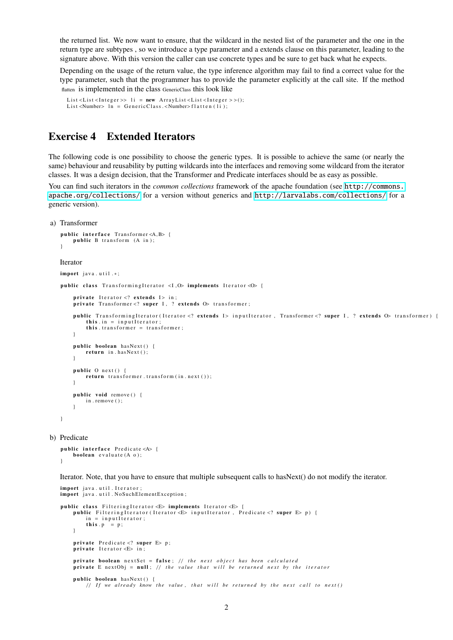the returned list. We now want to ensure, that the wildcard in the nested list of the parameter and the one in the return type are subtypes , so we introduce a type parameter and a extends clause on this parameter, leading to the signature above. With this version the caller can use concrete types and be sure to get back what he expects.

Depending on the usage of the return value, the type inference algorithm may fail to find a correct value for the type parameter, such that the programmer has to provide the parameter explicitly at the call site. If the method flatten is implemented in the class GenericClass this look like

```
List <List <Integer >> li = new ArrayList <List <Integer >>();
List <Number> \overline{\ln} = GenericClass. <Number>flatten(\overline{\text{li}});
```
#### Exercise 4 Extended Iterators

 $in = input \cdot \text{if}$ this  $.p = p$ ;

public boolean hasNext  $()$  {

private Predicate <? super E> p;<br>private Iterator <E> in;

}

The following code is one possibility to choose the generic types. It is possible to achieve the same (or nearly the same) behaviour and reusability by putting wildcards into the interfaces and removing some wildcard from the iterator classes. It was a design decision, that the Transformer and Predicate interfaces should be as easy as possible.

You can find such iterators in the *common collections* framework of the apache foundation (see [http://commons.](http://commons.apache.org/collections/) [apache.org/collections/](http://commons.apache.org/collections/) for a version without generics and <http://larvalabs.com/collections/> for a generic version).

```
a) Transformer
```

```
public interface Transformer<A,B> {
       public B transform (A in);
   }
   Iterator
   import iava.util.*:
   public class TransformingIterator <I, 0> implements Iterator < 0> {
        private Iterator <? extends I> in;
        private Transformer <? super I, ? extends \Phi transformer;
       public TransformingIterator (Iterator <? extends I> inputIterator, Transformer <? super I, ? extends \circ transformer) {
           this . in = input I terator;
            this . transformer = transformer;
       \lambdapublic boolean hasNext () {
            return in . hasNext();
        }
       public O next() {
            return transformer.transform(in.next());
       \lambdapublic void remove () {
           in . remove () :
       \lambda}
b) Predicate
   public interface Predicate <A> {
       boolean evaluate (A \ o):
   }
   Iterator. Note, that you have to ensure that multiple subsequent calls to hasNext() do not modify the iterator.
   import java.util. Iterator;
   import java.util. NoSuchElementException;
   public class Filtering Iterator <E> implements Iterator <E> {
       public FilteringIterator (Iterator <E> inputIterator, Predicate <? super E> p) {
```
private boolean nextSet = false; // the next object has been calculated

private E nextObj = null; // *the value that will be returned next by the iterator* 

 $//$  If we already know the value, that will be returned by the next call to next ()